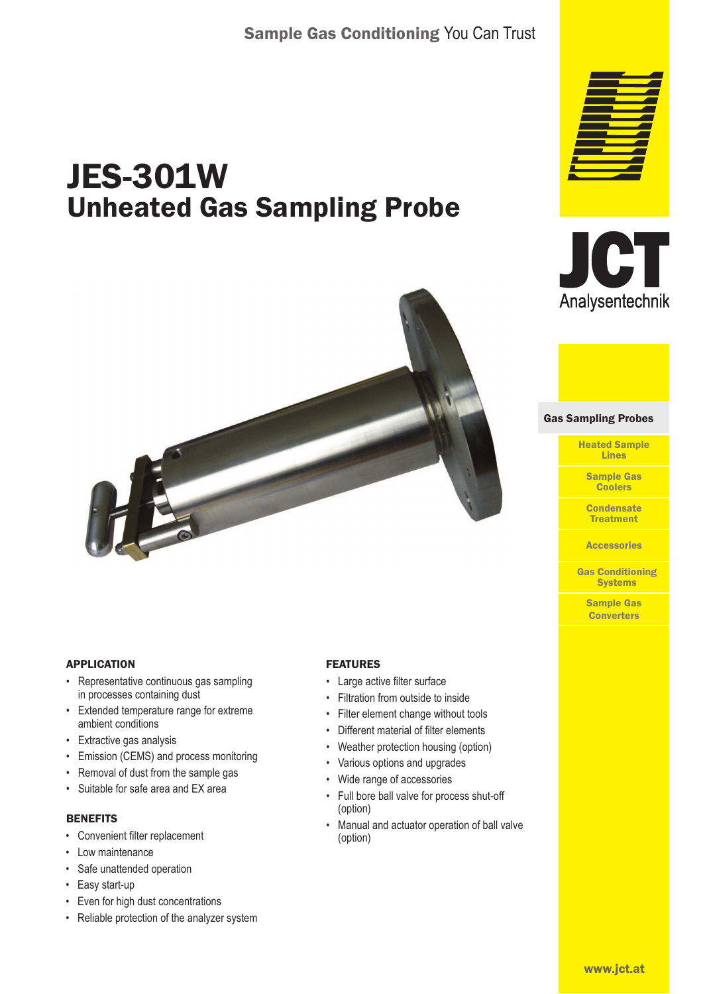# JES-301W Unheated Gas Sampling Probe



## APPLICATION

- Representative continuous gas sampling in processes containing dust
- Extended temperature range for extreme ambient conditions
- Extractive gas analysis
- Emission (CEMS) and process monitoring
- Removal of dust from the sample gas
- Suitable for safe area and EX area

### **BENEFITS**

- Convenient filter replacement
- Low maintenance
- Safe unattended operation
- Easy start-up
- Even for high dust concentrations
- Reliable protection of the analyzer system

## FEATURES

- Large active filter surface
- Filtration from outside to inside
- Filter element change without tools
- Different material of filter elements
- Weather protection housing (option)
- Various options and upgrades
- Wide range of accessories
- Full bore ball valve for process shut-off (option)
- Manual and actuator operation of ball valve (option)





Gas Sampling Probes Gas Sampling Probes

Heated Sample Lines

Sample Gas Coolers

**Condensate Treatment** 

**Accessories** 

Gas Conditioning **Systems** 

> Sample Gas **Converters**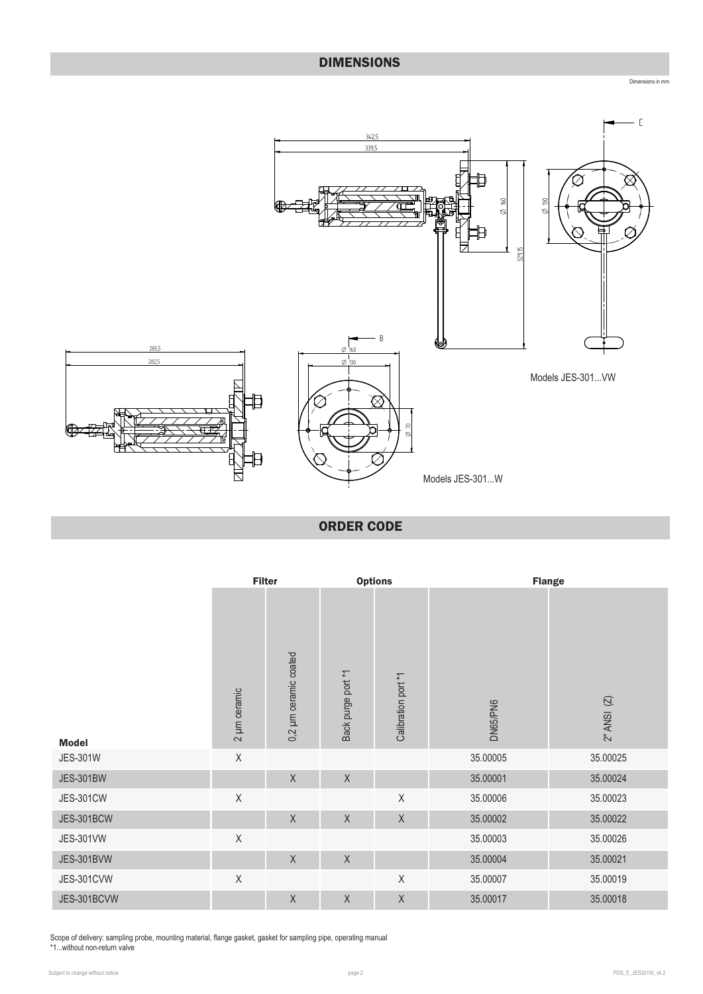## DIMENSIONS



ORDER CODE

|                   | <b>Filter</b> |                          | <b>Options</b>     |                     |          | <b>Flange</b>   |
|-------------------|---------------|--------------------------|--------------------|---------------------|----------|-----------------|
| <b>Model</b>      | 2 µm ceramic  | µm ceramic coated<br>0,2 | Back purge port *1 | Calibration port *1 | DN65/PN6 | $2"$ ANSI $(2)$ |
| <b>JES-301W</b>   | $\mathsf X$   |                          |                    |                     | 35.00005 | 35.00025        |
| <b>JES-301BW</b>  |               | $\mathsf X$              | $\mathsf X$        |                     | 35.00001 | 35.00024        |
| <b>JES-301CW</b>  | $\sf X$       |                          |                    | $\sf X$             | 35.00006 | 35.00023        |
| <b>JES-301BCW</b> |               | $\mathsf X$              | $\mathsf X$        | $\sf X$             | 35.00002 | 35.00022        |
| <b>JES-301VW</b>  | $\sf X$       |                          |                    |                     | 35.00003 | 35.00026        |
| <b>JES-301BVW</b> |               | $\mathsf X$              | $\mathsf X$        |                     | 35.00004 | 35.00021        |
| <b>JES-301CVW</b> | $\mathsf X$   |                          |                    | X                   | 35.00007 | 35.00019        |
| JES-301BCVW       |               | $\mathsf X$              | $\mathsf X$        | $\chi$              | 35.00017 | 35.00018        |

Scope of delivery: sampling probe, mounting material, flange gasket, gasket for sampling pipe, operating manual

\*1...without non-return valve

Dimensions in mm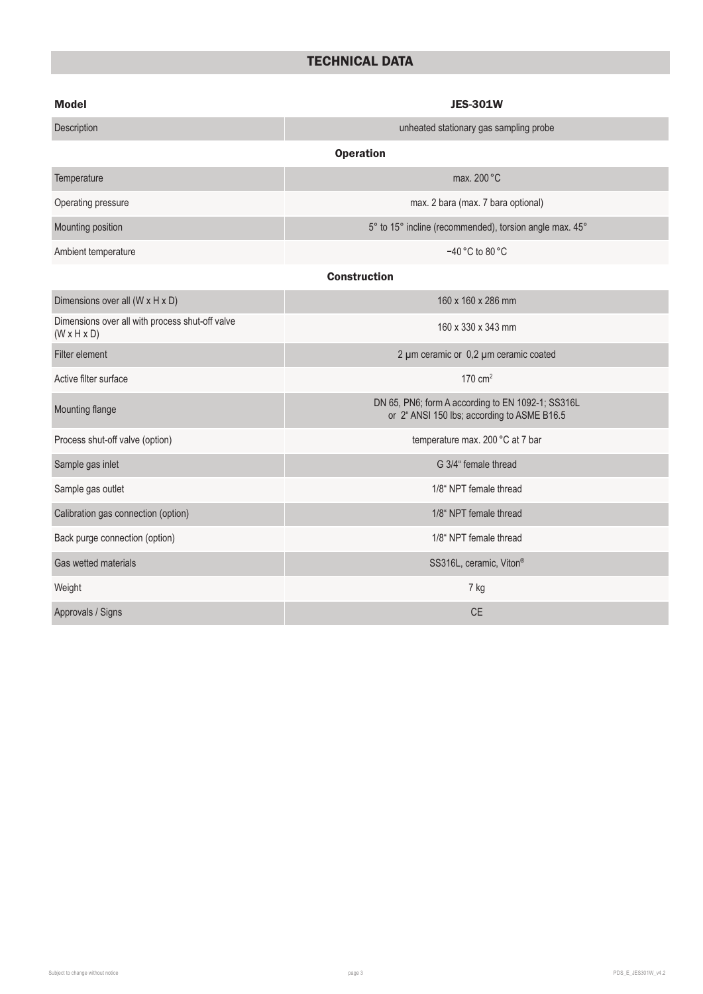## TECHNICAL DATA

| <b>Model</b>                                                               | <b>JES-301W</b>                                                                                  |  |  |  |  |
|----------------------------------------------------------------------------|--------------------------------------------------------------------------------------------------|--|--|--|--|
| Description                                                                | unheated stationary gas sampling probe                                                           |  |  |  |  |
|                                                                            | <b>Operation</b>                                                                                 |  |  |  |  |
| Temperature                                                                | max. 200 °C                                                                                      |  |  |  |  |
| Operating pressure                                                         | max. 2 bara (max. 7 bara optional)                                                               |  |  |  |  |
| Mounting position                                                          | 5° to 15° incline (recommended), torsion angle max. 45°                                          |  |  |  |  |
| Ambient temperature                                                        | -40 °C to 80 °C                                                                                  |  |  |  |  |
| <b>Construction</b>                                                        |                                                                                                  |  |  |  |  |
| Dimensions over all (W x H x D)                                            | 160 x 160 x 286 mm                                                                               |  |  |  |  |
| Dimensions over all with process shut-off valve<br>$(W \times H \times D)$ | 160 x 330 x 343 mm                                                                               |  |  |  |  |
| Filter element                                                             | 2 µm ceramic or 0,2 µm ceramic coated                                                            |  |  |  |  |
| Active filter surface                                                      | 170 $cm2$                                                                                        |  |  |  |  |
| Mounting flange                                                            | DN 65, PN6; form A according to EN 1092-1; SS316L<br>or 2" ANSI 150 lbs; according to ASME B16.5 |  |  |  |  |
| Process shut-off valve (option)                                            | temperature max. 200 °C at 7 bar                                                                 |  |  |  |  |
| Sample gas inlet                                                           | G 3/4" female thread                                                                             |  |  |  |  |
| Sample gas outlet                                                          | 1/8" NPT female thread                                                                           |  |  |  |  |
| Calibration gas connection (option)                                        | 1/8" NPT female thread                                                                           |  |  |  |  |
| Back purge connection (option)                                             | 1/8" NPT female thread                                                                           |  |  |  |  |
| Gas wetted materials                                                       | SS316L, ceramic, Viton®                                                                          |  |  |  |  |
| Weight                                                                     | 7 kg                                                                                             |  |  |  |  |
| Approvals / Signs                                                          | <b>CE</b>                                                                                        |  |  |  |  |